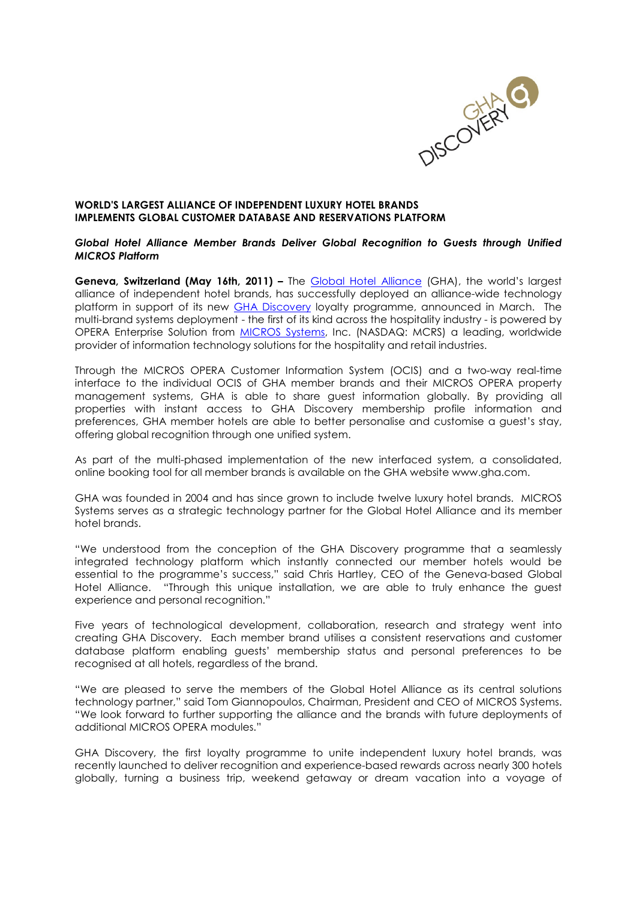

# WORLD'S LARGEST ALLIANCE OF INDEPENDENT LUXURY HOTEL BRANDS IMPLEMENTS GLOBAL CUSTOMER DATABASE AND RESERVATIONS PLATFORM

#### Global Hotel Alliance Member Brands Deliver Global Recognition to Guests through Unified MICROS Platform

Geneva, Switzerland (May 16th, 2011) – The Global Hotel Alliance (GHA), the world's largest alliance of independent hotel brands, has successfully deployed an alliance-wide technology platform in support of its new **GHA Discovery** loyalty programme, announced in March. The multi-brand systems deployment - the first of its kind across the hospitality industry - is powered by OPERA Enterprise Solution from MICROS Systems, Inc. (NASDAQ: MCRS) a leading, worldwide provider of information technology solutions for the hospitality and retail industries.

Through the MICROS OPERA Customer Information System (OCIS) and a two-way real-time interface to the individual OCIS of GHA member brands and their MICROS OPERA property management systems, GHA is able to share guest information globally. By providing all properties with instant access to GHA Discovery membership profile information and preferences, GHA member hotels are able to better personalise and customise a guest's stay, offering global recognition through one unified system.

As part of the multi-phased implementation of the new interfaced system, a consolidated, online booking tool for all member brands is available on the GHA website www.gha.com.

GHA was founded in 2004 and has since grown to include twelve luxury hotel brands. MICROS Systems serves as a strategic technology partner for the Global Hotel Alliance and its member hotel brands.

"We understood from the conception of the GHA Discovery programme that a seamlessly integrated technology platform which instantly connected our member hotels would be essential to the programme's success," said Chris Hartley, CEO of the Geneva-based Global Hotel Alliance. "Through this unique installation, we are able to truly enhance the guest experience and personal recognition."

Five years of technological development, collaboration, research and strategy went into creating GHA Discovery. Each member brand utilises a consistent reservations and customer database platform enabling guests' membership status and personal preferences to be recognised at all hotels, regardless of the brand.

"We are pleased to serve the members of the Global Hotel Alliance as its central solutions technology partner," said Tom Giannopoulos, Chairman, President and CEO of MICROS Systems. "We look forward to further supporting the alliance and the brands with future deployments of additional MICROS OPERA modules."

GHA Discovery, the first loyalty programme to unite independent luxury hotel brands, was recently launched to deliver recognition and experience-based rewards across nearly 300 hotels globally, turning a business trip, weekend getaway or dream vacation into a voyage of